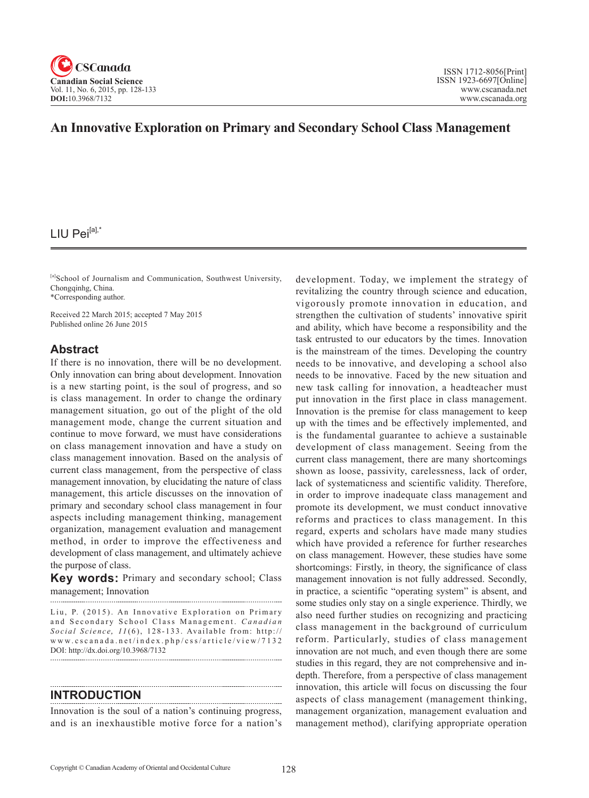

# **An Innovative Exploration on Primary and Secondary School Class Management**

# LIU Pei $[a]$ ,\*

[a]School of Journalism and Communication, Southwest University, Chongqinhg, China. \*Corresponding author.

Received 22 March 2015; accepted 7 May 2015 Published online 26 June 2015

## **Abstract**

If there is no innovation, there will be no development. Only innovation can bring about development. Innovation is a new starting point, is the soul of progress, and so is class management. In order to change the ordinary management situation, go out of the plight of the old management mode, change the current situation and continue to move forward, we must have considerations on class management innovation and have a study on class management innovation. Based on the analysis of current class management, from the perspective of class management innovation, by elucidating the nature of class management, this article discusses on the innovation of primary and secondary school class management in four aspects including management thinking, management organization, management evaluation and management method, in order to improve the effectiveness and development of class management, and ultimately achieve the purpose of class.

**Key words:** Primary and secondary school; Class management; Innovation

Liu, P. (2015). An Innovative Exploration on Primary and Secondary School Class Management. *Canadian Social Science*, <sup>11</sup> (6), 128-133 . Available from: http:// www.cscanada.net/index.php/css/article/view/7132 DOI: http://dx.doi.org/10.3968/7132

#### **INTRODUCTION**

Innovation is the soul of a nation's continuing progress, and is an inexhaustible motive force for a nation's development. Today, we implement the strategy of revitalizing the country through science and education, vigorously promote innovation in education, and strengthen the cultivation of students' innovative spirit and ability, which have become a responsibility and the task entrusted to our educators by the times. Innovation is the mainstream of the times. Developing the country needs to be innovative, and developing a school also needs to be innovative. Faced by the new situation and new task calling for innovation, a headteacher must put innovation in the first place in class management. Innovation is the premise for class management to keep up with the times and be effectively implemented, and is the fundamental guarantee to achieve a sustainable development of class management. Seeing from the current class management, there are many shortcomings shown as loose, passivity, carelessness, lack of order, lack of systematicness and scientific validity. Therefore, in order to improve inadequate class management and promote its development, we must conduct innovative reforms and practices to class management. In this regard, experts and scholars have made many studies which have provided a reference for further researches on class management. However, these studies have some shortcomings: Firstly, in theory, the significance of class management innovation is not fully addressed. Secondly, in practice, a scientific "operating system" is absent, and some studies only stay on a single experience. Thirdly, we also need further studies on recognizing and practicing class management in the background of curriculum reform. Particularly, studies of class management innovation are not much, and even though there are some studies in this regard, they are not comprehensive and indepth. Therefore, from a perspective of class management innovation, this article will focus on discussing the four aspects of class management (management thinking, management organization, management evaluation and management method), clarifying appropriate operation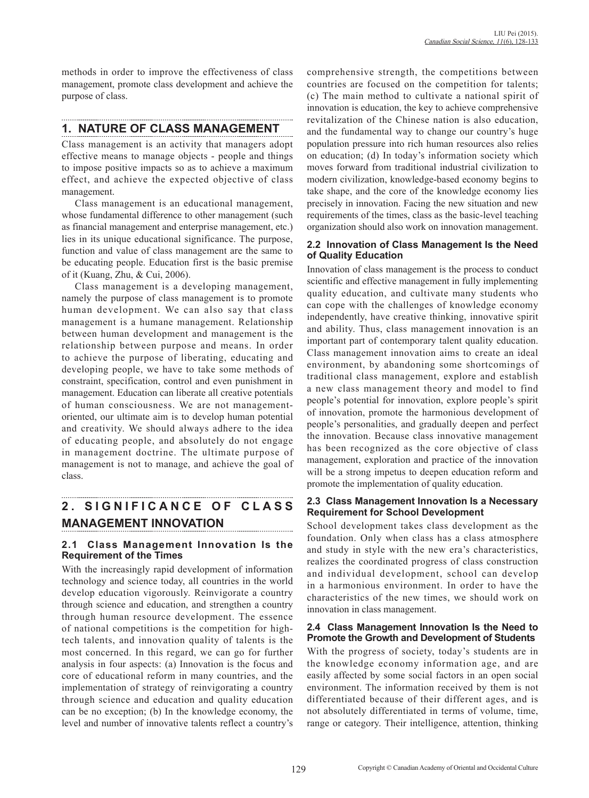methods in order to improve the effectiveness of class management, promote class development and achieve the purpose of class.

# **1. NATURE OF CLASS MANAGEMENT**

Class management is an activity that managers adopt effective means to manage objects - people and things to impose positive impacts so as to achieve a maximum effect, and achieve the expected objective of class management.

Class management is an educational management, whose fundamental difference to other management (such as financial management and enterprise management, etc.) lies in its unique educational significance. The purpose, function and value of class management are the same to be educating people. Education first is the basic premise of it (Kuang, Zhu, & Cui, 2006).

Class management is a developing management, namely the purpose of class management is to promote human development. We can also say that class management is a humane management. Relationship between human development and management is the relationship between purpose and means. In order to achieve the purpose of liberating, educating and developing people, we have to take some methods of constraint, specification, control and even punishment in management. Education can liberate all creative potentials of human consciousness. We are not managementoriented, our ultimate aim is to develop human potential and creativity. We should always adhere to the idea of educating people, and absolutely do not engage in management doctrine. The ultimate purpose of management is not to manage, and achieve the goal of class.

# **2 . S I G N I F I C A N C E O F C L A S S MANAGEMENT INNOVATION**

## **2.1 Class Management Innovation Is the Requirement of the Times**

With the increasingly rapid development of information technology and science today, all countries in the world develop education vigorously. Reinvigorate a country through science and education, and strengthen a country through human resource development. The essence of national competitions is the competition for hightech talents, and innovation quality of talents is the most concerned. In this regard, we can go for further analysis in four aspects: (a) Innovation is the focus and core of educational reform in many countries, and the implementation of strategy of reinvigorating a country through science and education and quality education can be no exception; (b) In the knowledge economy, the level and number of innovative talents reflect a country's comprehensive strength, the competitions between countries are focused on the competition for talents; (c) The main method to cultivate a national spirit of innovation is education, the key to achieve comprehensive revitalization of the Chinese nation is also education, and the fundamental way to change our country's huge population pressure into rich human resources also relies on education; (d) In today's information society which moves forward from traditional industrial civilization to modern civilization, knowledge-based economy begins to take shape, and the core of the knowledge economy lies precisely in innovation. Facing the new situation and new requirements of the times, class as the basic-level teaching organization should also work on innovation management.

#### **2.2 Innovation of Class Management Is the Need of Quality Education**

Innovation of class management is the process to conduct scientific and effective management in fully implementing quality education, and cultivate many students who can cope with the challenges of knowledge economy independently, have creative thinking, innovative spirit and ability. Thus, class management innovation is an important part of contemporary talent quality education. Class management innovation aims to create an ideal environment, by abandoning some shortcomings of traditional class management, explore and establish a new class management theory and model to find people's potential for innovation, explore people's spirit of innovation, promote the harmonious development of people's personalities, and gradually deepen and perfect the innovation. Because class innovative management has been recognized as the core objective of class management, exploration and practice of the innovation will be a strong impetus to deepen education reform and promote the implementation of quality education.

#### **2.3 Class Management Innovation Is a Necessary Requirement for School Development**

School development takes class development as the foundation. Only when class has a class atmosphere and study in style with the new era's characteristics, realizes the coordinated progress of class construction and individual development, school can develop in a harmonious environment. In order to have the characteristics of the new times, we should work on innovation in class management.

#### **2.4 Class Management Innovation Is the Need to Promote the Growth and Development of Students**

With the progress of society, today's students are in the knowledge economy information age, and are easily affected by some social factors in an open social environment. The information received by them is not differentiated because of their different ages, and is not absolutely differentiated in terms of volume, time, range or category. Their intelligence, attention, thinking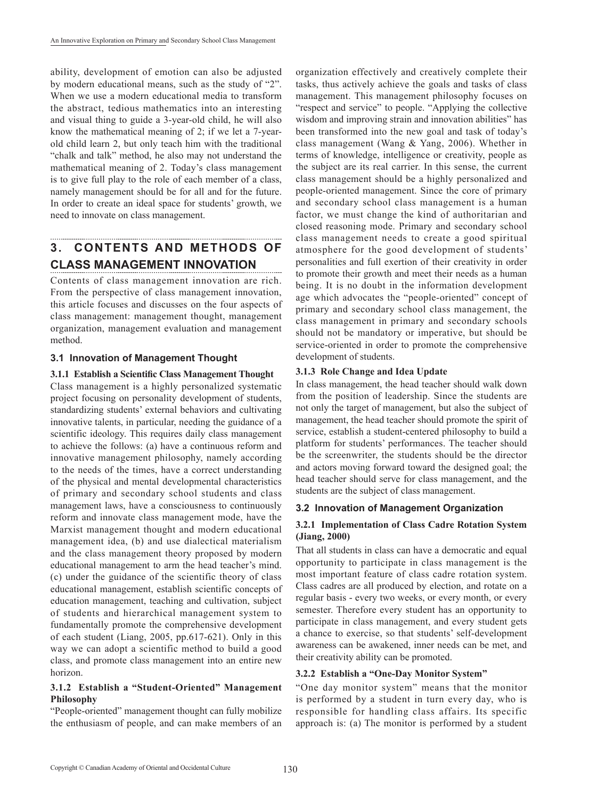ability, development of emotion can also be adjusted by modern educational means, such as the study of "2". When we use a modern educational media to transform the abstract, tedious mathematics into an interesting and visual thing to guide a 3-year-old child, he will also know the mathematical meaning of 2; if we let a 7-yearold child learn 2, but only teach him with the traditional "chalk and talk" method, he also may not understand the mathematical meaning of 2. Today's class management is to give full play to the role of each member of a class, namely management should be for all and for the future. In order to create an ideal space for students' growth, we need to innovate on class management.

# **3. CONTENTS AND METHODS OF CLASS MANAGEMENT INNOVATION**

Contents of class management innovation are rich. From the perspective of class management innovation, this article focuses and discusses on the four aspects of class management: management thought, management organization, management evaluation and management method.

## **3.1 Innovation of Management Thought**

#### **3.1.1 Establish a Scientific Class Management Thought**

Class management is a highly personalized systematic project focusing on personality development of students, standardizing students' external behaviors and cultivating innovative talents, in particular, needing the guidance of a scientific ideology. This requires daily class management to achieve the follows: (a) have a continuous reform and innovative management philosophy, namely according to the needs of the times, have a correct understanding of the physical and mental developmental characteristics of primary and secondary school students and class management laws, have a consciousness to continuously reform and innovate class management mode, have the Marxist management thought and modern educational management idea, (b) and use dialectical materialism and the class management theory proposed by modern educational management to arm the head teacher's mind. (c) under the guidance of the scientific theory of class educational management, establish scientific concepts of education management, teaching and cultivation, subject of students and hierarchical management system to fundamentally promote the comprehensive development of each student (Liang, 2005, pp.617-621). Only in this way we can adopt a scientific method to build a good class, and promote class management into an entire new horizon.

#### **3.1.2 Establish a "Student-Oriented" Management Philosophy**

"People-oriented" management thought can fully mobilize the enthusiasm of people, and can make members of an

organization effectively and creatively complete their tasks, thus actively achieve the goals and tasks of class management. This management philosophy focuses on "respect and service" to people. "Applying the collective wisdom and improving strain and innovation abilities" has been transformed into the new goal and task of today's class management (Wang & Yang, 2006). Whether in terms of knowledge, intelligence or creativity, people as the subject are its real carrier. In this sense, the current class management should be a highly personalized and people-oriented management. Since the core of primary and secondary school class management is a human factor, we must change the kind of authoritarian and closed reasoning mode. Primary and secondary school class management needs to create a good spiritual atmosphere for the good development of students' personalities and full exertion of their creativity in order to promote their growth and meet their needs as a human being. It is no doubt in the information development age which advocates the "people-oriented" concept of primary and secondary school class management, the class management in primary and secondary schools should not be mandatory or imperative, but should be service-oriented in order to promote the comprehensive development of students.

#### **3.1.3 Role Change and Idea Update**

In class management, the head teacher should walk down from the position of leadership. Since the students are not only the target of management, but also the subject of management, the head teacher should promote the spirit of service, establish a student-centered philosophy to build a platform for students' performances. The teacher should be the screenwriter, the students should be the director and actors moving forward toward the designed goal; the head teacher should serve for class management, and the students are the subject of class management.

## **3.2 Innovation of Management Organization**

## **3.2.1 Implementation of Class Cadre Rotation System (Jiang, 2000)**

That all students in class can have a democratic and equal opportunity to participate in class management is the most important feature of class cadre rotation system. Class cadres are all produced by election, and rotate on a regular basis - every two weeks, or every month, or every semester. Therefore every student has an opportunity to participate in class management, and every student gets a chance to exercise, so that students' self-development awareness can be awakened, inner needs can be met, and their creativity ability can be promoted.

## **3.2.2 Establish a "One-Day Monitor System"**

"One day monitor system" means that the monitor is performed by a student in turn every day, who is responsible for handling class affairs. Its specific approach is: (a) The monitor is performed by a student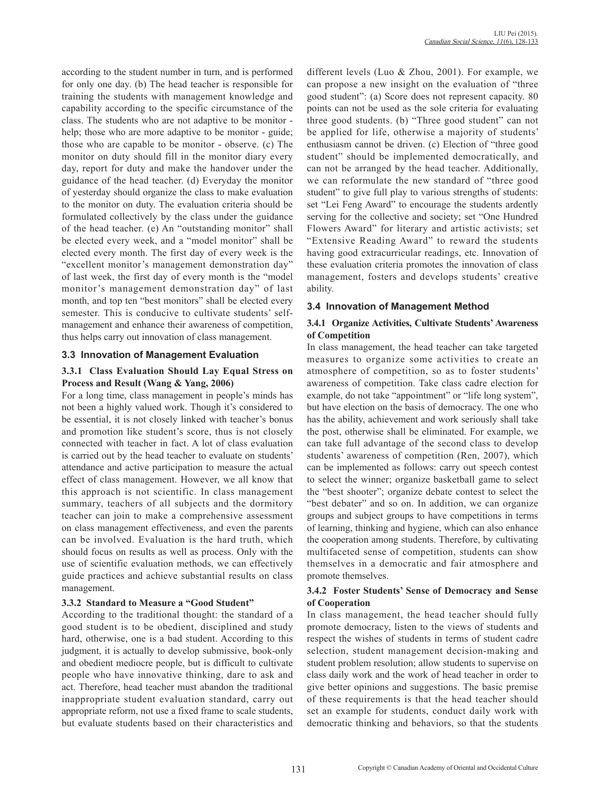according to the student number in turn, and is performed for only one day. (b) The head teacher is responsible for training the students with management knowledge and capability according to the specific circumstance of the class. The students who are not adaptive to be monitor help; those who are more adaptive to be monitor - guide; those who are capable to be monitor - observe. (c) The monitor on duty should fill in the monitor diary every day, report for duty and make the handover under the guidance of the head teacher. (d) Everyday the monitor of yesterday should organize the class to make evaluation to the monitor on duty. The evaluation criteria should be formulated collectively by the class under the guidance of the head teacher. (e) An "outstanding monitor" shall be elected every week, and a "model monitor" shall be elected every month. The first day of every week is the "excellent monitor's management demonstration day" of last week, the first day of every month is the "model monitor's management demonstration day" of last month, and top ten "best monitors" shall be elected every semester. This is conducive to cultivate students' selfmanagement and enhance their awareness of competition, thus helps carry out innovation of class management.

## **3.3 Innovation of Management Evaluation**

#### **3.3.1 Class Evaluation Should Lay Equal Stress on Process and Result (Wang & Yang, 2006)**

For a long time, class management in people's minds has not been a highly valued work. Though it's considered to be essential, it is not closely linked with teacher's bonus and promotion like student's score, thus is not closely connected with teacher in fact. A lot of class evaluation is carried out by the head teacher to evaluate on students' attendance and active participation to measure the actual effect of class management. However, we all know that this approach is not scientific. In class management summary, teachers of all subjects and the dormitory teacher can join to make a comprehensive assessment on class management effectiveness, and even the parents can be involved. Evaluation is the hard truth, which should focus on results as well as process. Only with the use of scientific evaluation methods, we can effectively guide practices and achieve substantial results on class management.

#### **3.3.2 Standard to Measure a "Good Student"**

According to the traditional thought: the standard of a good student is to be obedient, disciplined and study hard, otherwise, one is a bad student. According to this judgment, it is actually to develop submissive, book-only and obedient mediocre people, but is difficult to cultivate people who have innovative thinking, dare to ask and act. Therefore, head teacher must abandon the traditional inappropriate student evaluation standard, carry out appropriate reform, not use a fixed frame to scale students, but evaluate students based on their characteristics and

different levels (Luo & Zhou, 2001). For example, we can propose a new insight on the evaluation of "three good student": (a) Score does not represent capacity. 80 points can not be used as the sole criteria for evaluating three good students. (b) "Three good student" can not be applied for life, otherwise a majority of students' enthusiasm cannot be driven. (c) Election of "three good student" should be implemented democratically, and can not be arranged by the head teacher. Additionally, we can reformulate the new standard of "three good student" to give full play to various strengths of students: set "Lei Feng Award" to encourage the students ardently serving for the collective and society; set "One Hundred Flowers Award" for literary and artistic activists; set "Extensive Reading Award" to reward the students having good extracurricular readings, etc. Innovation of these evaluation criteria promotes the innovation of class management, fosters and develops students' creative ability.

## **3.4 Innovation of Management Method**

#### **3.4.1 Organize Activities, Cultivate Students' Awareness of Competition**

In class management, the head teacher can take targeted measures to organize some activities to create an atmosphere of competition, so as to foster students' awareness of competition. Take class cadre election for example, do not take "appointment" or "life long system", but have election on the basis of democracy. The one who has the ability, achievement and work seriously shall take the post, otherwise shall be eliminated. For example, we can take full advantage of the second class to develop students' awareness of competition (Ren, 2007), which can be implemented as follows: carry out speech contest to select the winner; organize basketball game to select the "best shooter"; organize debate contest to select the "best debater" and so on. In addition, we can organize groups and subject groups to have competitions in terms of learning, thinking and hygiene, which can also enhance the cooperation among students. Therefore, by cultivating multifaceted sense of competition, students can show themselves in a democratic and fair atmosphere and promote themselves.

## **3.4.2 Foster Students' Sense of Democracy and Sense of Cooperation**

In class management, the head teacher should fully promote democracy, listen to the views of students and respect the wishes of students in terms of student cadre selection, student management decision-making and student problem resolution; allow students to supervise on class daily work and the work of head teacher in order to give better opinions and suggestions. The basic premise of these requirements is that the head teacher should set an example for students, conduct daily work with democratic thinking and behaviors, so that the students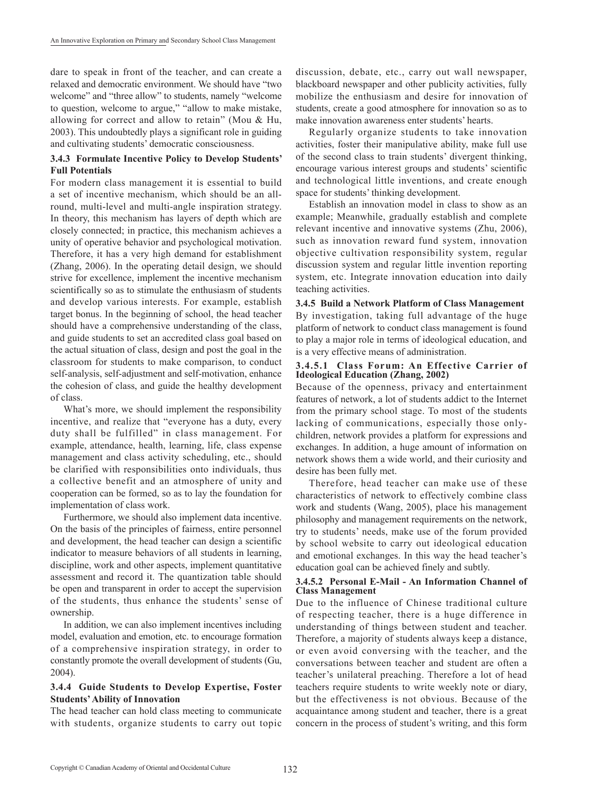dare to speak in front of the teacher, and can create a relaxed and democratic environment. We should have "two welcome" and "three allow" to students, namely "welcome to question, welcome to argue," "allow to make mistake, allowing for correct and allow to retain" (Mou & Hu, 2003). This undoubtedly plays a significant role in guiding and cultivating students' democratic consciousness.

#### **3.4.3 Formulate Incentive Policy to Develop Students' Full Potentials**

For modern class management it is essential to build a set of incentive mechanism, which should be an allround, multi-level and multi-angle inspiration strategy. In theory, this mechanism has layers of depth which are closely connected; in practice, this mechanism achieves a unity of operative behavior and psychological motivation. Therefore, it has a very high demand for establishment (Zhang, 2006). In the operating detail design, we should strive for excellence, implement the incentive mechanism scientifically so as to stimulate the enthusiasm of students and develop various interests. For example, establish target bonus. In the beginning of school, the head teacher should have a comprehensive understanding of the class, and guide students to set an accredited class goal based on the actual situation of class, design and post the goal in the classroom for students to make comparison, to conduct self-analysis, self-adjustment and self-motivation, enhance the cohesion of class, and guide the healthy development of class.

What's more, we should implement the responsibility incentive, and realize that "everyone has a duty, every duty shall be fulfilled" in class management. For example, attendance, health, learning, life, class expense management and class activity scheduling, etc., should be clarified with responsibilities onto individuals, thus a collective benefit and an atmosphere of unity and cooperation can be formed, so as to lay the foundation for implementation of class work.

Furthermore, we should also implement data incentive. On the basis of the principles of fairness, entire personnel and development, the head teacher can design a scientific indicator to measure behaviors of all students in learning, discipline, work and other aspects, implement quantitative assessment and record it. The quantization table should be open and transparent in order to accept the supervision of the students, thus enhance the students' sense of ownership.

In addition, we can also implement incentives including model, evaluation and emotion, etc. to encourage formation of a comprehensive inspiration strategy, in order to constantly promote the overall development of students (Gu, 2004).

#### **3.4.4 Guide Students to Develop Expertise, Foster Students' Ability of Innovation**

The head teacher can hold class meeting to communicate with students, organize students to carry out topic

discussion, debate, etc., carry out wall newspaper, blackboard newspaper and other publicity activities, fully mobilize the enthusiasm and desire for innovation of students, create a good atmosphere for innovation so as to make innovation awareness enter students' hearts.

Regularly organize students to take innovation activities, foster their manipulative ability, make full use of the second class to train students' divergent thinking, encourage various interest groups and students' scientific and technological little inventions, and create enough space for students' thinking development.

Establish an innovation model in class to show as an example; Meanwhile, gradually establish and complete relevant incentive and innovative systems (Zhu, 2006), such as innovation reward fund system, innovation objective cultivation responsibility system, regular discussion system and regular little invention reporting system, etc. Integrate innovation education into daily teaching activities.

**3.4.5 Build a Network Platform of Class Management**  By investigation, taking full advantage of the huge platform of network to conduct class management is found to play a major role in terms of ideological education, and is a very effective means of administration.

#### **3.4.5.1 Class Forum: An Effective Carrier of Ideological Education (Zhang, 2002)**

Because of the openness, privacy and entertainment features of network, a lot of students addict to the Internet from the primary school stage. To most of the students lacking of communications, especially those onlychildren, network provides a platform for expressions and exchanges. In addition, a huge amount of information on network shows them a wide world, and their curiosity and desire has been fully met.

Therefore, head teacher can make use of these characteristics of network to effectively combine class work and students (Wang, 2005), place his management philosophy and management requirements on the network, try to students' needs, make use of the forum provided by school website to carry out ideological education and emotional exchanges. In this way the head teacher's education goal can be achieved finely and subtly.

#### **3.4.5.2 Personal E-Mail - An Information Channel of Class Management**

Due to the influence of Chinese traditional culture of respecting teacher, there is a huge difference in understanding of things between student and teacher. Therefore, a majority of students always keep a distance, or even avoid conversing with the teacher, and the conversations between teacher and student are often a teacher's unilateral preaching. Therefore a lot of head teachers require students to write weekly note or diary, but the effectiveness is not obvious. Because of the acquaintance among student and teacher, there is a great concern in the process of student's writing, and this form